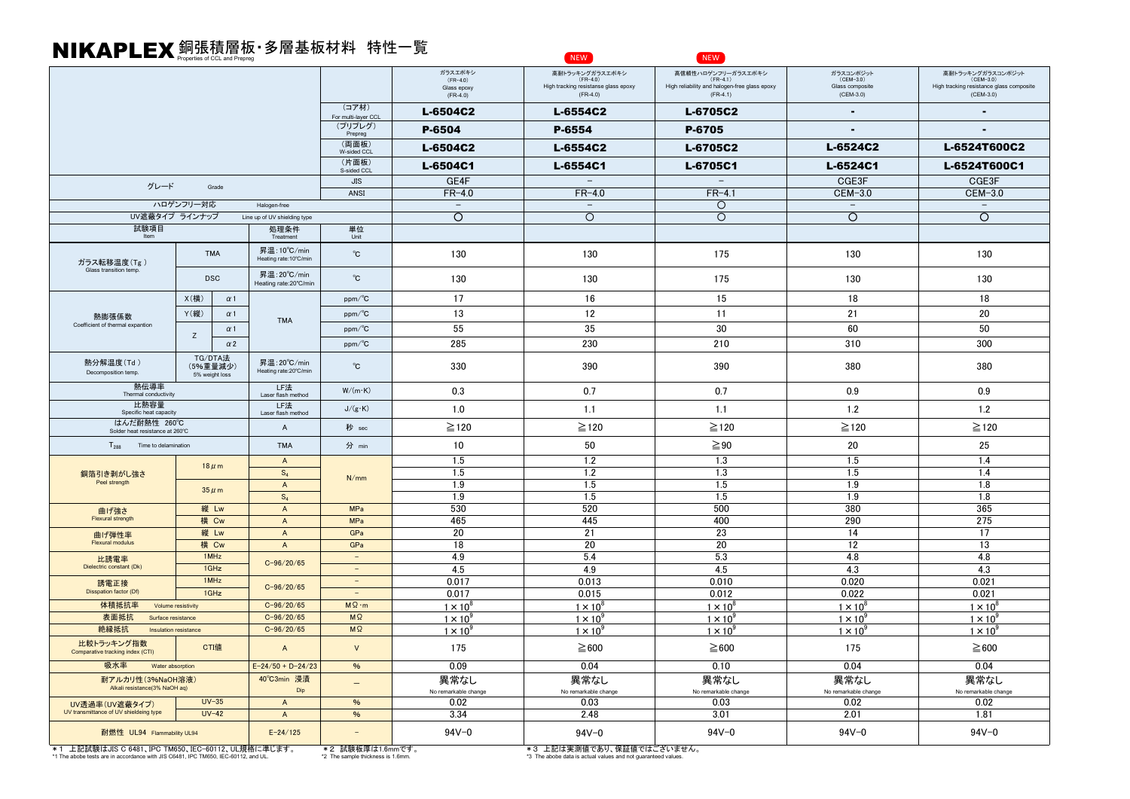## 銅張積層板・多層基板材料 特性一覧 Properties of CCL and Prepreg NIKAPLEX NEW NEW

|                                                                                                                                         |                                       |                                        |                                                       | ガラスエポキシ<br>$(FR-4.0)$<br>Glass epoxy | 高耐トラッキングガラスエポキシ<br>(FR-4.0)<br>High tracking resistanse glass epoxy<br>$(FR-4.0)$          | 高信頼性ハロゲンフリーガラスエポキシ<br>High reliability and halogen-free glass epoxy<br>$(FR-4.1)$ | ガラスコンポジット<br>(CEM-3.0)<br>Glass composite<br>(CEM-3.0) | 高耐トラッキングガラスコンポジット<br>(CEM-3.0)<br>High tracking resistance glass composite<br>$(CEM-3.0)$ |  |
|-----------------------------------------------------------------------------------------------------------------------------------------|---------------------------------------|----------------------------------------|-------------------------------------------------------|--------------------------------------|--------------------------------------------------------------------------------------------|-----------------------------------------------------------------------------------|--------------------------------------------------------|-------------------------------------------------------------------------------------------|--|
|                                                                                                                                         |                                       |                                        | (コア材)                                                 | $(FR-4.0)$<br>L-6504C2               | L-6554C2                                                                                   | L-6705C2                                                                          |                                                        |                                                                                           |  |
|                                                                                                                                         |                                       |                                        | For multi-layer CCL<br>(プリプレグ)                        | P-6504                               | P-6554                                                                                     | P-6705                                                                            |                                                        |                                                                                           |  |
|                                                                                                                                         |                                       |                                        | Prepreg<br>(両面板)                                      | L-6504C2                             | L-6554C2                                                                                   | L-6705C2                                                                          | L-6524C2                                               | L-6524T600C2                                                                              |  |
|                                                                                                                                         |                                       |                                        | W-sided CCL<br>(片面板)                                  |                                      |                                                                                            |                                                                                   | L-6524C1                                               | L-6524T600C1                                                                              |  |
|                                                                                                                                         |                                       |                                        | S-sided CCL<br>JIS                                    | L-6504C1<br>GE4F                     | L-6554C1<br>$\equiv$                                                                       | L-6705C1<br>$\overline{\phantom{m}}$                                              | CGE3F                                                  | CGE3F                                                                                     |  |
| グレード<br>Grade                                                                                                                           |                                       |                                        | ANSI                                                  | $FR-4.0$                             | $FR-4.0$                                                                                   | $FR-4.1$                                                                          | CEM-3.0                                                | CEM-3.0                                                                                   |  |
| ハロゲンフリー対応<br>Halogen-free                                                                                                               |                                       |                                        |                                                       | $\overline{\phantom{a}}$             | $\overline{\phantom{m}}$                                                                   | $\circ$                                                                           | $\overline{\phantom{a}}$                               | $\overline{\phantom{m}}$                                                                  |  |
| UV遮蔽タイプ ラインナップ<br>Line up of UV shielding type                                                                                          |                                       |                                        |                                                       | $\circ$                              | $\Omega$                                                                                   | $\circ$                                                                           | $\circ$                                                | $\circ$                                                                                   |  |
| 試験項目<br>処理条件<br>Item<br>Treatment                                                                                                       |                                       |                                        | 単位<br>Unit                                            |                                      |                                                                                            |                                                                                   |                                                        |                                                                                           |  |
| ガラス転移温度(Tg)                                                                                                                             | <b>TMA</b>                            | 昇温: 10°C/min<br>Heating rate: 10°C/min | $^{\circ}$ C                                          | 130                                  | 130                                                                                        | 175                                                                               | 130                                                    | 130                                                                                       |  |
| Glass transition temp.                                                                                                                  | <b>DSC</b>                            | 昇温:20℃/min<br>Heating rate:20°C/min    | $^{\circ}$ C                                          | 130                                  | 130                                                                                        | 175                                                                               | 130                                                    | 130                                                                                       |  |
|                                                                                                                                         | X(横)<br>$\alpha$ 1                    |                                        | $ppm$ <sup>o</sup> C                                  | 17                                   | 16                                                                                         | 15                                                                                | 18                                                     | 18                                                                                        |  |
| 熱膨張係数                                                                                                                                   | Y(縦)<br>$\alpha$ 1                    | <b>TMA</b>                             | $ppm$ <sup>o</sup> C                                  | 13                                   | 12                                                                                         | 11                                                                                | 21                                                     | 20<br>50                                                                                  |  |
| Coefficient of thermal expantion                                                                                                        | $\alpha$ 1                            |                                        | $ppm$ <sup>o</sup> C                                  | 55                                   | 35                                                                                         | 30                                                                                | 60                                                     |                                                                                           |  |
|                                                                                                                                         | Z<br>$\alpha$ 2                       |                                        | $ppm$ <sup>o</sup> C                                  | 285                                  | 230                                                                                        | 210                                                                               | 310                                                    | 300                                                                                       |  |
| 熱分解温度(Td)<br>Decomposition temp.                                                                                                        | TG/DTA法<br>(5%重量減少)<br>5% weight loss | 昇温: 20°C/min<br>Heating rate:20°C/min  | $^{\circ}$ C                                          | 330                                  | 390                                                                                        | 390                                                                               | 380                                                    | 380                                                                                       |  |
| 熱伝導率<br>Thermal conductivity                                                                                                            |                                       | LF法<br>Laser flash method              | $W/(m \cdot K)$                                       | 0.3                                  | 0.7                                                                                        | 0.7                                                                               | 0.9                                                    | 0.9                                                                                       |  |
| 比熱容量<br>Specific heat capacity                                                                                                          |                                       | LF法<br>Laser flash method              | $J/(g \cdot K)$                                       | 1.0                                  | 1.1                                                                                        | 1.1                                                                               | 1.2                                                    | 1.2                                                                                       |  |
| はんだ耐熱性 260℃<br>Solder heat resistance at 260°C                                                                                          |                                       | $\overline{A}$                         | 秒 sec                                                 | $\geq$ 120                           | $\geq$ 120                                                                                 | $\geq$ 120                                                                        | $\geq$ 120                                             | $\geq$ 120                                                                                |  |
| <b>TMA</b><br>$T_{288}$<br>Time to delamination                                                                                         |                                       |                                        | 分 min                                                 | 10                                   | 50                                                                                         | $\geq 90$                                                                         | 20                                                     | 25                                                                                        |  |
|                                                                                                                                         | $18 \mu m$                            | $\mathsf{A}$                           | N/mm                                                  | 1.5                                  | 1.2                                                                                        | 1.3                                                                               | 1.5                                                    | 1.4                                                                                       |  |
| 銅箔引き剥がし強さ                                                                                                                               |                                       | $S_4$<br>$\overline{A}$                |                                                       | 1.5                                  | 1.2                                                                                        | 1.3                                                                               | 1.5                                                    | 1.4                                                                                       |  |
| Peel strength                                                                                                                           | $35 \mu m$                            |                                        |                                                       | 1.9                                  | 1.5                                                                                        | 1.5                                                                               | 1.9                                                    | 1.8                                                                                       |  |
|                                                                                                                                         |                                       | $S_4$                                  |                                                       | 1.9                                  | 1.5                                                                                        | 1.5                                                                               | 1.9                                                    | 1.8                                                                                       |  |
| 曲げ強さ<br>Flexural strength                                                                                                               | 縦 Lw<br>横 Cw                          | $\boldsymbol{A}$                       | <b>MPa</b><br><b>MPa</b>                              | 530<br>465                           | 520<br>445                                                                                 | 500<br>400                                                                        | 380<br>290                                             | 365<br>275                                                                                |  |
|                                                                                                                                         | 縦 Lw                                  | $\overline{A}$<br>$\overline{A}$       | GPa                                                   | 20                                   | 21                                                                                         | 23                                                                                | 14                                                     | 17                                                                                        |  |
| 曲げ弾性率<br><b>Flexural modulus</b>                                                                                                        | 横 Cw                                  | $\overline{A}$                         | GPa                                                   | 18                                   | 20                                                                                         | 20                                                                                | 12                                                     | 13                                                                                        |  |
| 比誘電率                                                                                                                                    | 1MHz                                  |                                        | $\equiv$                                              | 4.9                                  | 5.4                                                                                        | 5.3                                                                               | 4.8                                                    | 4.8                                                                                       |  |
| Dielectric constant (Dk)                                                                                                                | $1$ GHz                               | $C - 96/20/65$                         | $\equiv$                                              | 4.5                                  | 4.9                                                                                        | 4.5                                                                               | 4.3                                                    | 4.3                                                                                       |  |
| 誘電正接                                                                                                                                    | 1MHz                                  | $C - 96/20/65$                         | $\sim$                                                | 0.017                                | 0.013                                                                                      | 0.010                                                                             | 0.020                                                  | 0.021                                                                                     |  |
| Disspation factor (Df)                                                                                                                  | $1$ GHz                               |                                        |                                                       | 0.017                                | 0.015                                                                                      | 0.012                                                                             | 0.022                                                  | 0.021                                                                                     |  |
| 体積抵抗率                                                                                                                                   | Volume resistivity                    | $C - 96/20/65$                         | $M\Omega \cdot m$                                     | $1 \times 10^{6}$                    | $1 \times 10^{8}$                                                                          | $1 \times 10^{1}$                                                                 | $1 \times 10$                                          | $1 \times 10^{6}$                                                                         |  |
| 表面抵抗<br>Surface resistance                                                                                                              |                                       | $C - 96/20/65$                         | $M\Omega$                                             | $1 \times 10^{3}$                    | $1 \times 10^{8}$                                                                          | $1 \times 10^{7}$                                                                 | $1 \times 10^{7}$                                      | $1 \times 10^{8}$                                                                         |  |
| 絶縁抵抗<br>Insulation resistance                                                                                                           |                                       | $C - 96/20/65$                         | $M\Omega$                                             | $1 \times 10^{8}$                    | $1 \times 10^{8}$                                                                          | $1 \times 10^{7}$                                                                 | $1 \times 10^{3}$                                      | $1 \times 10^{8}$                                                                         |  |
| 比較トラッキング指数<br>Comparative tracking index (CTI)                                                                                          | CTI値                                  | $\overline{A}$                         | $\vee$                                                | 175                                  | $\geq 600$                                                                                 | $\geq 600$                                                                        | 175                                                    | $\geq 600$                                                                                |  |
| 吸水率<br>Water absorption                                                                                                                 |                                       | $E - 24/50 + D - 24/23$                | %                                                     | 0.09                                 | 0.04                                                                                       | 0.10                                                                              | 0.04                                                   | 0.04                                                                                      |  |
| 耐アルカリ性(3%NaOH溶液)<br>Alkali resistance(3% NaOH ag)                                                                                       |                                       | 40°C3min 浸漬<br>Dip                     | $\qquad \qquad -$                                     | 異常なし<br>No remarkable change         | 異常なし<br>No remarkable change                                                               | 異常なし<br>No remarkable change                                                      | 異常なし<br>No remarkable change                           | 異常なし<br>No remarkable change                                                              |  |
| UV透過率(UV遮蔽タイプ)                                                                                                                          | $UV-35$                               | $\overline{A}$                         | $\%$                                                  | 0.02                                 | 0.03                                                                                       | 0.03                                                                              | 0.02                                                   | 0.02                                                                                      |  |
| UV transmittance of UV shieldeing type                                                                                                  | $UV-42$                               | $\boldsymbol{A}$                       | $\frac{9}{6}$                                         | 3.34                                 | 2.48                                                                                       | 3.01                                                                              | 2.01                                                   | 1.81                                                                                      |  |
| 耐燃性 UL94 Flammability UL94                                                                                                              |                                       | $E - 24/125$                           |                                                       | $94V - 0$                            | $94V - 0$                                                                                  | $94V - 0$                                                                         | $94V - 0$                                              | $94V - 0$                                                                                 |  |
| *1 上記試験はJIS C 6481、IPC TM650、IEC-60112、UL規格に準じます。<br>*1 The abobe tests are in accordance with JIS C6481, IPC TM650, IEC-60112, and UL. |                                       |                                        | *2 試験板厚は1.6mmです。<br>*2 The sample thickness is 1.6mm. |                                      | *3 上記は実測値であり、保証値ではございません。<br>*3 The abobe data is actual values and not quaranteed values. |                                                                                   |                                                        |                                                                                           |  |